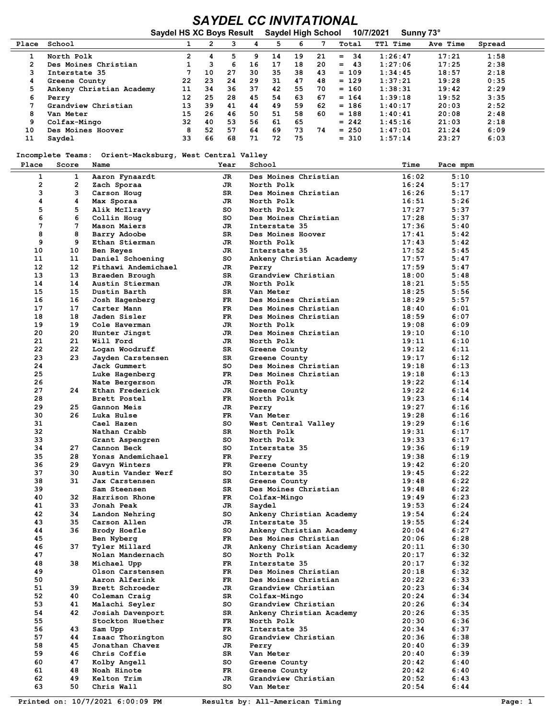## *SAYDEL CC INVITATIONAL* **Saydel HS XC Boys Result Saydel High School 10/7/2021 Sunny 73°**

| <b>DOVE THE AVAIL</b><br><b>ORYUGI HIYII OUNUU</b><br>1 <i>0111404</i> 1<br><b>JUILLY</b> |                          |                      |    |    |    |     |     |     |           |                 |          |        |  |
|-------------------------------------------------------------------------------------------|--------------------------|----------------------|----|----|----|-----|-----|-----|-----------|-----------------|----------|--------|--|
| Place                                                                                     | School                   |                      |    |    |    |     | 6   |     | Total     | <b>TT1 Time</b> | Ave Time | Spread |  |
|                                                                                           | North Polk               | $\mathbf{2}^{\circ}$ |    | 5. | 9  | 14  | 19  | 21  | 34<br>$=$ | 1:26:47         | 17:21    | 1:58   |  |
| 2                                                                                         | Des Moines Christian     |                      |    | 6  | 16 | 17  | 18  | 20  | 43<br>$=$ | 1:27:06         | 17:25    | 2:38   |  |
|                                                                                           | Interstate 35            |                      | 10 | 27 | 30 | 35  | 38  | 43  | $= 109$   | 1:34:45         | 18:57    | 2:18   |  |
| 4                                                                                         | Greene County            | 22                   | 23 | 24 | 29 | 31  | 47  | 48  | $= 129$   | 1:37:21         | 19:28    | 0:35   |  |
| 5                                                                                         | Ankeny Christian Academy | 11                   | 34 | 36 | 37 | 42  | 55. | 70. | $= 160$   | 1:38:31         | 19:42    | 2:29   |  |
| 6                                                                                         | Perry                    | 12                   | 25 | 28 | 45 | 54  | 63  | 67  | $= 164$   | 1:39:18         | 19:52    | 3:35   |  |
|                                                                                           | Grandview Christian      | 13                   | 39 | 41 | 44 | 49  | 59  | 62  | $= 186$   | 1:40:17         | 20:03    | 2:52   |  |
| 8                                                                                         | Van Meter                | 15                   | 26 | 46 | 50 | 51  | 58  | 60  | $= 188$   | 1:40:41         | 20:08    | 2:48   |  |
| 9                                                                                         | Colfax-Mingo             | 32                   | 40 | 53 | 56 | -61 | 65  |     | $= 242$   | 1:45:16         | 21:03    | 2:18   |  |
| 10                                                                                        | Des Moines Hoover        | 8                    | 52 | 57 | 64 | 69  | 73  | 74  | $= 250$   | 1:47:01         | 21:24    | 6:09   |  |
| 11                                                                                        | Saydel                   | 33                   | 66 | 68 | 71 | 72  | 75  |     | $= 310$   | 1:57:14         | 23:27    | 6:03   |  |

 **Incomplete Teams: Orient-Macksburg, West Central Valley**

| Incomplete Teams: Orient-Macksburg, West Central Valley |       |                           |      |                          |       |          |  |
|---------------------------------------------------------|-------|---------------------------|------|--------------------------|-------|----------|--|
| Place                                                   | Score | Name                      | Year | School                   | Time  | Pace mpm |  |
| $\mathbf{1}$                                            | 1     | Aaron Fynaardt            | JR   | Des Moines Christian     | 16:02 | 5:10     |  |
| $\mathbf{2}$                                            | 2     |                           | JR   | North Polk               | 16:24 | 5:17     |  |
| 3                                                       | 3     | Zach Sporaa               | SR   | Des Moines Christian     | 16:26 | 5:17     |  |
| 4                                                       | 4     | Carson Houg<br>Max Sporaa | JR.  | North Polk               | 16:51 | 5:26     |  |
| 5                                                       | 5     |                           | so   | North Polk               | 17:27 | 5:37     |  |
|                                                         |       | Alik McIlravy             |      |                          |       |          |  |
| 6                                                       | 6     | Collin Houg               | so   | Des Moines Christian     | 17:28 | 5:37     |  |
| 7                                                       | 7     | Mason Maiers              | JR   | Interstate 35            | 17:36 | 5:40     |  |
| 8                                                       | 8     | Barry Adoobe              | SR   | Des Moines Hoover        | 17:41 | 5:42     |  |
| 9                                                       | 9     | Ethan Stierman            | JR   | North Polk               | 17:43 | 5:42     |  |
| 10                                                      | 10    | Ben Reyes                 | JR   | Interstate 35            | 17:52 | 5:45     |  |
| 11                                                      | 11    | Daniel Schoening          | so   | Ankeny Christian Academy | 17:57 | 5:47     |  |
| 12                                                      | 12    | Fithawi Andemichael       | JR   | Perry                    | 17:59 | 5:47     |  |
| 13                                                      | 13    | Braeden Brough            | SR   | Grandview Christian      | 18:00 | 5:48     |  |
| 14                                                      | 14    | Austin Stierman           | JR   | North Polk               | 18:21 | 5:55     |  |
| 15                                                      | 15    | Dustin Barth              | SR   | Van Meter                | 18:25 | 5:56     |  |
| 16                                                      | 16    | Josh Hagenberg            | FR.  | Des Moines Christian     | 18:29 | 5:57     |  |
| 17                                                      | 17    | Carter Mann               | FR.  | Des Moines Christian     | 18:40 | 6:01     |  |
| 18                                                      | 18    | Jaden Sisler              | FR   | Des Moines Christian     | 18:59 | 6:07     |  |
| 19                                                      | 19    | Cole Haverman             | JR   | North Polk               | 19:08 | 6:09     |  |
| 20                                                      | 20    | Hunter Jingst             | JR   | Des Moines Christian     | 19:10 | 6:10     |  |
| 21                                                      | 21    | Will Ford                 | JR   | North Polk               | 19:11 | 6:10     |  |
| 22                                                      | 22    | Logan Woodruff            | SR   | Greene County            | 19:12 | 6:11     |  |
| 23                                                      | 23    | Jayden Carstensen         | SR   | Greene County            | 19:17 | 6:12     |  |
| 24                                                      |       | Jack Gummert              | so   | Des Moines Christian     | 19:18 | 6:13     |  |
| 25                                                      |       | Luke Hagenberg            | FR.  | Des Moines Christian     | 19:18 | 6:13     |  |
| 26                                                      |       |                           | JR   | North Polk               | 19:22 | 6:14     |  |
| 27                                                      | 24    | Nate Bergerson            |      |                          | 19:22 | 6:14     |  |
| 28                                                      |       | Ethan Frederick           | JR   | Greene County            |       |          |  |
|                                                         |       | Brett Postel              | FR.  | North Polk               | 19:23 | 6:14     |  |
| 29                                                      | 25    | Gannon Meis               | JR   | Perry                    | 19:27 | 6:16     |  |
| 30                                                      | 26.   | Luka Hulse                | FR.  | Van Meter                | 19:28 | 6:16     |  |
| 31                                                      |       | Cael Hazen                | so   | West Central Valley      | 19:29 | 6:16     |  |
| 32                                                      |       | Nathan Crabb              | SR   | North Polk               | 19:31 | 6:17     |  |
| 33                                                      |       | Grant Aspengren           | so   | North Polk               | 19:33 | 6:17     |  |
| 34                                                      | 27    | Cannon Beck               | so   | Interstate 35            | 19:36 | 6:19     |  |
| 35                                                      | 28    | Yonas Andemichael         | FR.  | Perry                    | 19:38 | 6:19     |  |
| 36                                                      | 29    | Gavyn Winters             | FR.  | Greene County            | 19:42 | 6:20     |  |
| 37                                                      | 30    | Austin Vander Werf        | so   | Interstate 35            | 19:45 | 6:22     |  |
| 38                                                      | 31    | Jax Carstensen            | SR   | Greene County            | 19:48 | 6:22     |  |
| 39                                                      |       | Sam Steensen              | SR.  | Des Moines Christian     | 19:48 | 6:22     |  |
| 40                                                      | 32    | Harrison Rhone            | FR.  | Colfax-Mingo             | 19:49 | 6:23     |  |
| 41                                                      | 33    | Jonah Peak                | JR   | Saydel                   | 19:53 | 6:24     |  |
| 42                                                      | 34    | Landon Nehring            | so   | Ankeny Christian Academy | 19:54 | 6:24     |  |
| 43                                                      | 35    | Carson Allen              | JR   | Interstate 35            | 19:55 | 6:24     |  |
| 44                                                      | 36    | Brody Hoefle              | so   | Ankeny Christian Academy | 20:04 | 6:27     |  |
| 45                                                      |       | Ben Nyberg                | FR.  | Des Moines Christian     | 20:06 | 6:28     |  |
| 46                                                      | 37    | Tyler Millard             | JR   | Ankeny Christian Academy | 20:11 | 6:30     |  |
| 47                                                      |       | Nolan Mandernach          | so   | North Polk               | 20:17 | 6:32     |  |
| 48                                                      |       |                           |      |                          | 20:17 | 6:32     |  |
|                                                         | 38    | Michael Upp               | FR   | Interstate 35            |       |          |  |
| 49                                                      |       | Olson Carstensen          | FR   | Des Moines Christian     | 20:18 | 6:32     |  |
| 50                                                      |       | Aaron Alferink            | FR   | Des Moines Christian     | 20:22 | 6:33     |  |
| 51                                                      | 39    | Brett Schroeder           | JR   | Grandview Christian      | 20:23 | 6:34     |  |
| 52                                                      | 40    | Coleman Craig             | SR   | Colfax-Mingo             | 20:24 | 6:34     |  |
| 53                                                      | 41    | Malachi Seyler            | so   | Grandview Christian      | 20:26 | 6:34     |  |
| 54                                                      | 42    | Josiah Davenport          | SR   | Ankeny Christian Academy | 20:26 | 6:35     |  |
| 55                                                      |       | Stockton Huether          | FR.  | North Polk               | 20:30 | 6:36     |  |
| 56                                                      | 43    | Sam Upp                   | FR   | Interstate 35            | 20:34 | 6:37     |  |
| 57                                                      | 44    | Isaac Thorington          | so   | Grandview Christian      | 20:36 | 6:38     |  |
| 58                                                      | 45    | Jonathan Chavez           | JR   | Perry                    | 20:40 | 6:39     |  |
| 59                                                      | 46    | Chris Coffie              | SR   | Van Meter                | 20:40 | 6:39     |  |
| 60                                                      | 47    | Kolby Angell              | so   | Greene County            | 20:42 | 6:40     |  |
| 61                                                      | 48    | Noah Hinote               | FR   | Greene County            | 20:42 | 6:40     |  |
| 62                                                      | 49    | Kelton Trim               | JR   | Grandview Christian      | 20:52 | 6:43     |  |
| 63                                                      | 50    | Chris Wall                | so   | Van Meter                | 20:54 | 6:44     |  |
|                                                         |       |                           |      |                          |       |          |  |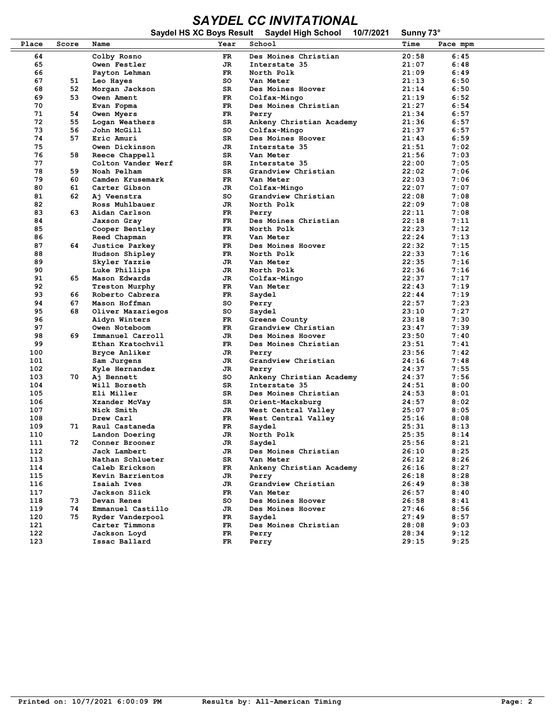## *SAYDEL CC INVITATIONAL*

|            |       |                                 |          | Saydel HS XC Boys Result Saydel High School | 10/7/2021 | Sunny 73°      |              |  |
|------------|-------|---------------------------------|----------|---------------------------------------------|-----------|----------------|--------------|--|
| Place      | Score | Name                            | Year     | School                                      |           | Time           | Pace mpm     |  |
| 64         |       | Colby Rosno                     | FR       | Des Moines Christian                        |           | 20:58          | 6:45         |  |
| 65         |       | Owen Festler                    | JR       | Interstate 35                               |           | 21:07          | 6:48         |  |
| 66         |       | Payton Lehman                   | FR       | North Polk                                  |           | 21:09          | 6:49         |  |
| 67         | 51    | Leo Hayes                       | so       | Van Meter                                   |           | 21:13          | 6:50         |  |
| 68         | 52    | Morgan Jackson                  | SR       | Des Moines Hoover                           |           | 21:14          | 6:50         |  |
| 69         | 53    | Owen Ament                      | FR       | Colfax-Mingo                                |           | 21:19          | 6:52         |  |
| 70         |       | Evan Fopma                      | FR       | Des Moines Christian                        |           | 21:27          | 6:54         |  |
| 71         | 54    | Owen Myers                      | FR       | Perry                                       |           | 21:34          | 6:57         |  |
| 72         | 55    | Logan Weathers                  | SR       | Ankeny Christian Academy                    |           | 21:36          | 6:57         |  |
| 73         | 56    | John McGill                     | so       | Colfax-Mingo                                |           | 21:37          | 6:57         |  |
| 74         | 57    | Eric Amuri                      | SR       | Des Moines Hoover                           |           | 21:43          | 6:59         |  |
| 75         |       | Owen Dickinson                  | JR       | Interstate 35                               |           | 21:51          | 7:02         |  |
| 76         | 58    | Reece Chappell                  | SR       | Van Meter                                   |           | 21:56          | 7:03         |  |
| 77         |       | Colton Vander Werf              | SR       | Interstate 35                               |           | 22:00          | 7:05         |  |
| 78         | 59    | Noah Pelham                     | SR       | Grandview Christian                         |           | 22:02          | 7:06         |  |
| 79         | 60    | Camden Krusemark                | FR.      | Van Meter                                   |           | 22:03          | 7:06         |  |
| 80         | 61    | Carter Gibson                   | JR       | Colfax-Mingo                                |           | 22:07          | 7:07         |  |
| 81         | 62    | Aj Veenstra                     | so       | Grandview Christian                         |           | 22:08          | 7:08         |  |
| 82         |       | Ross Muhlbauer                  | JR       | North Polk                                  |           | 22:09          | 7:08         |  |
| 83         | 63    | Aidan Carlson                   | FR.      | Perry                                       |           | 22:11          | 7:08         |  |
| 84         |       | Jaxson Gray                     | FR.      | Des Moines Christian                        |           | 22:18          | 7:11         |  |
| 85         |       | Cooper Bentley                  | FR.      | North Polk                                  |           | 22:23          | 7:12         |  |
| 86<br>87   | 64    | Reed Chapman                    | FR<br>FR | Van Meter                                   |           | 22:24<br>22:32 | 7:13<br>7:15 |  |
| 88         |       | <b>Justice Parkey</b>           | FR.      | Des Moines Hoover<br>North Polk             |           | 22:33          | 7:16         |  |
| 89         |       | Hudson Shipley<br>Skyler Yazzie | JR       | Van Meter                                   |           | 22:35          | 7:16         |  |
| 90         |       | Luke Phillips                   | JR       | North Polk                                  |           | 22:36          | 7:16         |  |
| 91         | 65    | Mason Edwards                   | JR       | Colfax-Mingo                                |           | 22:37          | 7:17         |  |
| 92         |       | Treston Murphy                  | FR.      | Van Meter                                   |           | 22:43          | 7:19         |  |
| 93         | 66    | Roberto Cabrera                 | FR.      | Saydel                                      |           | 22:44          | 7:19         |  |
| 94         | 67    | Mason Hoffman                   | so       | Perry                                       |           | 22:57          | 7:23         |  |
| 95         | 68    | Oliver Mazariegos               | so       | Saydel                                      |           | 23:10          | 7:27         |  |
| 96         |       | Aidyn Winters                   | FR.      | Greene County                               |           | 23:18          | 7:30         |  |
| 97         |       | Owen Noteboom                   | FR.      | Grandview Christian                         |           | 23:47          | 7:39         |  |
| 98         | 69    | Immanuel Carroll                | JR       | Des Moines Hoover                           |           | 23:50          | 7:40         |  |
| 99         |       | Ethan Kratochvil                | FR.      | Des Moines Christian                        |           | 23:51          | 7:41         |  |
| 100        |       | Bryce Anliker                   | JR       | Perry                                       |           | 23:56          | 7:42         |  |
| 101        |       | Sam Jurgens                     | JR       | Grandview Christian                         |           | 24:16          | 7:48         |  |
| 102        |       | Kyle Hernandez                  | JR       | Perry                                       |           | 24:37          | 7:55         |  |
| 103        | 70    | Aj Bennett                      | so       | Ankeny Christian Academy                    |           | 24:37          | 7:56         |  |
| 104        |       | Will Borseth                    | SR       | Interstate 35                               |           | 24:51          | 8:00         |  |
| 105        |       | Eli Miller                      | SR       | Des Moines Christian                        |           | 24:53          | 8:01         |  |
| 106        |       | Xzander McVay                   | SR       | Orient-Macksburg                            |           | 24:57          | 8:02         |  |
| 107        |       | Nick Smith                      | JR       | West Central Valley                         |           | 25:07          | 8:05         |  |
| 108        |       | Drew Carl                       | FR       | West Central Valley                         |           | 25:16          | 8:08         |  |
| 109        | 71    | Raul Castaneda                  | FR       | Saydel                                      |           | 25:31          | 8:13         |  |
| 110        |       | Landon Doering                  | JR.      | North Polk                                  |           | 25:35          | 8:14         |  |
| 111        | 72    | Conner Brooner                  | JR       | Saydel                                      |           | 25:56          | 8:21         |  |
| 112        |       | Jack Lambert                    | JR       | Des Moines Christian                        |           | 26:10          | 8:25         |  |
| 113        |       | Nathan Schlueter                | SR       | Van Meter                                   |           | 26:12          | 8:26         |  |
| 114<br>115 |       | Caleb Erickson                  | FR       | Ankeny Christian Academy                    |           | 26:16<br>26:18 | 8:27<br>8:28 |  |
| 116        |       | Kevin Barrientos                | JR<br>JR | Perry                                       |           | 26:49          | 8:38         |  |
| 117        |       | Isaiah Ives<br>Jackson Slick    | FR       | Grandview Christian<br>Van Meter            |           | 26:57          | 8:40         |  |
| 118        | 73    | Devan Renes                     | so       | Des Moines Hoover                           |           | 26:58          | 8:41         |  |
| 119        | 74    | Emmanuel Castillo               | JR       | Des Moines Hoover                           |           | 27:46          | 8:56         |  |
| 120        | 75    | Ryder Vanderpool                | FR       | Saydel                                      |           | 27:49          | 8:57         |  |
| 121        |       | Carter Timmons                  | FR       | Des Moines Christian                        |           | 28:08          | 9:03         |  |
| 122        |       | Jackson Loyd                    | FR       | Perry                                       |           | 28:34          | 9:12         |  |
| 123        |       | Issac Ballard                   | FR       | Perry                                       |           | 29:15          | 9:25         |  |
|            |       |                                 |          |                                             |           |                |              |  |